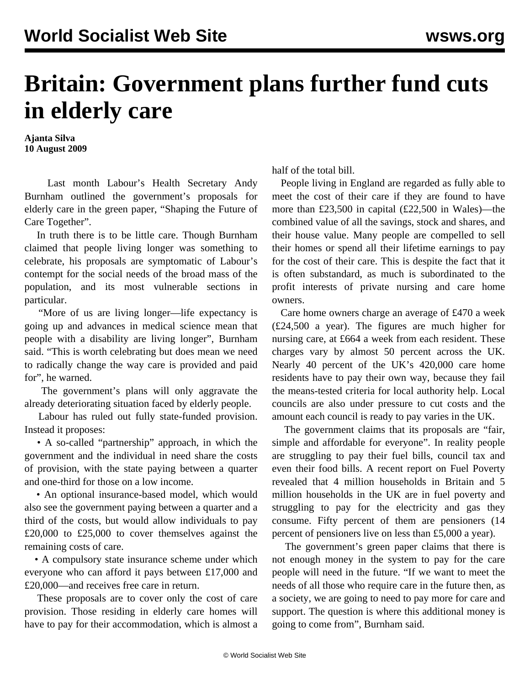## **Britain: Government plans further fund cuts in elderly care**

**Ajanta Silva 10 August 2009**

 Last month Labour's Health Secretary Andy Burnham outlined the government's proposals for elderly care in the green paper, "Shaping the Future of Care Together".

 In truth there is to be little care. Though Burnham claimed that people living longer was something to celebrate, his proposals are symptomatic of Labour's contempt for the social needs of the broad mass of the population, and its most vulnerable sections in particular.

 "More of us are living longer—life expectancy is going up and advances in medical science mean that people with a disability are living longer", Burnham said. "This is worth celebrating but does mean we need to radically change the way care is provided and paid for", he warned.

 The government's plans will only aggravate the already deteriorating situation faced by elderly people.

 Labour has ruled out fully state-funded provision. Instead it proposes:

 • A so-called "partnership" approach, in which the government and the individual in need share the costs of provision, with the state paying between a quarter and one-third for those on a low income.

 • An optional insurance-based model, which would also see the government paying between a quarter and a third of the costs, but would allow individuals to pay £20,000 to £25,000 to cover themselves against the remaining costs of care.

 • A compulsory state insurance scheme under which everyone who can afford it pays between £17,000 and £20,000—and receives free care in return.

 These proposals are to cover only the cost of care provision. Those residing in elderly care homes will have to pay for their accommodation, which is almost a half of the total bill.

 People living in England are regarded as fully able to meet the cost of their care if they are found to have more than £23,500 in capital (£22,500 in Wales)—the combined value of all the savings, stock and shares, and their house value. Many people are compelled to sell their homes or spend all their lifetime earnings to pay for the cost of their care. This is despite the fact that it is often substandard, as much is subordinated to the profit interests of private nursing and care home owners.

 Care home owners charge an average of £470 a week (£24,500 a year). The figures are much higher for nursing care, at £664 a week from each resident. These charges vary by almost 50 percent across the UK. Nearly 40 percent of the UK's 420,000 care home residents have to pay their own way, because they fail the means-tested criteria for local authority help. Local councils are also under pressure to cut costs and the amount each council is ready to pay varies in the UK.

 The government claims that its proposals are "fair, simple and affordable for everyone". In reality people are struggling to pay their fuel bills, council tax and even their food bills. A recent report on Fuel Poverty revealed that 4 million households in Britain and 5 million households in the UK are in fuel poverty and struggling to pay for the electricity and gas they consume. Fifty percent of them are pensioners (14 percent of pensioners live on less than £5,000 a year).

 The government's green paper claims that there is not enough money in the system to pay for the care people will need in the future. "If we want to meet the needs of all those who require care in the future then, as a society, we are going to need to pay more for care and support. The question is where this additional money is going to come from", Burnham said.